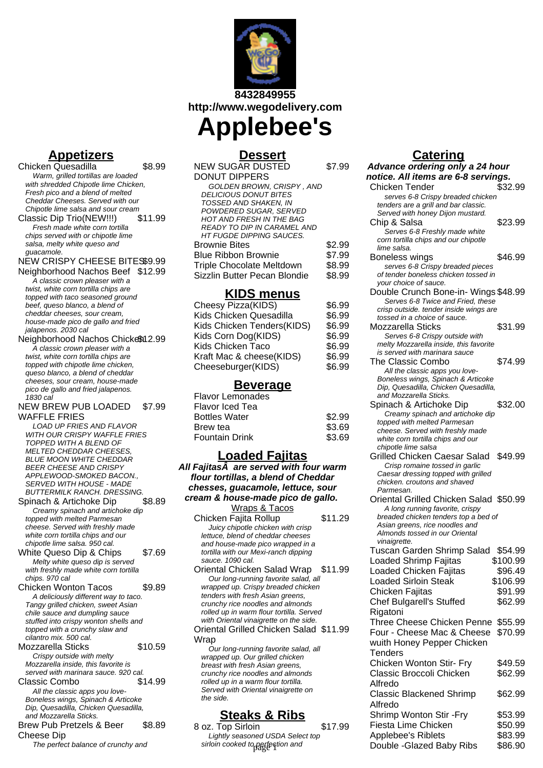

**8432849955 http://www.wegodelivery.com**

# **Applebee's Dessert**

| NEW SUGAR DUSTED                   | \$7.99 |
|------------------------------------|--------|
| <b>DONUT DIPPERS</b>               |        |
| GOLDEN BROWN, CRISPY, AND          |        |
| <b>DELICIOUS DONUT BITES</b>       |        |
| TOSSED AND SHAKEN, IN              |        |
| POWDERED SUGAR, SERVED             |        |
| <b>HOT AND FRESH IN THE BAG</b>    |        |
| <b>READY TO DIP IN CARAMEL AND</b> |        |
| HT FUGDE DIPPING SAUCES.           |        |
| Brownie Bites                      | \$2.99 |
| Blue Ribbon Brownie                | \$7.99 |
| Triple Chocolate Meltdown          | \$8.99 |
| Sizzlin Butter Pecan Blondie       | \$8.99 |

#### **KIDS menus**

| Cheesy Pizza(KIDS)         | \$6.99 |
|----------------------------|--------|
| Kids Chicken Quesadilla    | \$6.99 |
| Kids Chicken Tenders(KIDS) | \$6.99 |
| Kids Corn Dog(KIDS)        | \$6.99 |
| Kids Chicken Taco          | \$6.99 |
| Kraft Mac & cheese(KIDS)   | \$6.99 |
| Cheeseburger(KIDS)         | \$6.99 |
|                            |        |

#### **Beverage**

| <b>Flavor Lemonades</b> |        |
|-------------------------|--------|
| Flavor Iced Tea         |        |
| <b>Bottles Water</b>    | \$2.99 |
| Brew tea                | \$3.69 |
| <b>Fountain Drink</b>   | \$3.69 |
|                         |        |

### **Loaded Fajitas**

**All Fajitas A** are served with four warm **flour tortillas, a blend of Cheddar chesses, guacamole, lettuce, sour cream & house-made pico de gallo.**

Wraps & Tacos Chicken Fajita Rollup \$11.29 Juicy chipotle chicken with crisp lettuce, blend of cheddar cheeses and house-made pico wrapped in a tortilla with our Mexi-ranch dipping sauce. 1090 cal.

#### Oriental Grilled Chicken Salad \$11.99 Wrap

### **Steaks & Ribs**

8 oz. Top Sirloin \$17.99 Lightly seasoned USDA Select top

#### **Catering**

| EW SUGAR DUSTED                                                                    | \$7.99  | Advance ordering only a 24 hour                                       |          |
|------------------------------------------------------------------------------------|---------|-----------------------------------------------------------------------|----------|
| ONUT DIPPERS                                                                       |         | notice. All items are 6-8 servings.                                   |          |
| GOLDEN BROWN, CRISPY, AND                                                          |         | Chicken Tender                                                        | \$32.99  |
| <i><b>DELICIOUS DONUT BITES</b></i>                                                |         | serves 6-8 Crispy breaded chicken                                     |          |
| TOSSED AND SHAKEN, IN                                                              |         | tenders are a grill and bar classic.                                  |          |
| POWDERED SUGAR, SERVED<br>HOT AND FRESH IN THE BAG                                 |         | Served with honey Dijon mustard.                                      |          |
| READY TO DIP IN CARAMEL AND                                                        |         | Chip & Salsa                                                          | \$23.99  |
| HT FUGDE DIPPING SAUCES.                                                           |         | Serves 6-8 Freshly made white                                         |          |
| rownie Bites                                                                       | \$2.99  | corn tortilla chips and our chipotle<br>lime salsa.                   |          |
| lue Ribbon Brownie                                                                 | \$7.99  | Boneless wings                                                        | \$46.99  |
| riple Chocolate Meltdown                                                           | \$8.99  | serves 6-8 Crispy breaded pieces                                      |          |
| <b>izzlin Butter Pecan Blondie</b>                                                 | \$8.99  | of tender boneless chicken tossed in                                  |          |
|                                                                                    |         | your choice of sauce.                                                 |          |
| KIDS menus                                                                         |         | Double Crunch Bone-in-Wings \$48.99                                   |          |
| heesy Pizza(KIDS)                                                                  | \$6.99  | Serves 6-8 Twice and Fried, these                                     |          |
| ids Chicken Quesadilla                                                             | \$6.99  | crisp outside. tender inside wings are                                |          |
| ids Chicken Tenders(KIDS)                                                          | \$6.99  | tossed in a choice of sauce.<br>Mozzarella Sticks                     | \$31.99  |
| ids Corn Dog(KIDS)                                                                 | \$6.99  | Serves 6-8 Crispy outside with                                        |          |
| ids Chicken Taco                                                                   | \$6.99  | melty Mozzarella inside, this favorite                                |          |
|                                                                                    | \$6.99  | is served with marinara sauce                                         |          |
| raft Mac & cheese(KIDS)                                                            |         | The Classic Combo                                                     | \$74.99  |
| heeseburger(KIDS)                                                                  | \$6.99  | All the classic apps you love-                                        |          |
| <b>Beverage</b>                                                                    |         | Boneless wings, Spinach & Articoke                                    |          |
|                                                                                    |         | Dip, Quesadilla, Chicken Quesadilla,                                  |          |
| avor Lemonades                                                                     |         | and Mozzarella Sticks.                                                | \$32.00  |
| avor Iced Tea                                                                      |         | Spinach & Artichoke Dip<br>Creamy spinach and artichoke dip           |          |
| ottles Water                                                                       | \$2.99  | topped with melted Parmesan                                           |          |
| rew tea                                                                            | \$3.69  | cheese. Served with freshly made                                      |          |
| puntain Drink                                                                      | \$3.69  | white corn tortilla chips and our                                     |          |
|                                                                                    |         | chipotle lime salsa                                                   |          |
| <u> Loaded Fajitas</u>                                                             |         | Grilled Chicken Caesar Salad                                          | \$49.99  |
| ajitasÄ are served with four warm                                                  |         | Crisp romaine tossed in garlic<br>Caesar dressing topped with grilled |          |
| ur tortillas, a blend of Cheddar                                                   |         | chicken. croutons and shaved                                          |          |
| esses, guacamole, lettuce, sour                                                    |         | Parmesan.                                                             |          |
| am & house-made pico de gallo.                                                     |         | Oriental Grilled Chicken Salad \$50.99                                |          |
| <u>Wraps &amp; Tacos</u>                                                           |         | A long running favorite, crispy                                       |          |
| hicken Fajita Rollup                                                               | \$11.29 | breaded chicken tenders top a bed of                                  |          |
| Juicy chipotle chicken with crisp                                                  |         | Asian greens, rice noodles and<br>Almonds tossed in our Oriental      |          |
| lettuce, blend of cheddar cheeses                                                  |         | <i>vinaigrette.</i>                                                   |          |
| and house-made pico wrapped in a<br>tortilla with our Mexi-ranch dipping           |         | Tuscan Garden Shrimp Salad                                            | \$54.99  |
| sauce. 1090 cal.                                                                   |         | <b>Loaded Shrimp Fajitas</b>                                          | \$100.99 |
| riental Chicken Salad Wrap                                                         | \$11.99 | Loaded Chicken Fajitas                                                | \$96.49  |
| Our long-running favorite salad, all                                               |         | <b>Loaded Sirloin Steak</b>                                           | \$106.99 |
| wrapped up. Crispy breaded chicken                                                 |         | Chicken Fajitas                                                       | \$91.99  |
| tenders with fresh Asian greens,                                                   |         | <b>Chef Bulgarell's Stuffed</b>                                       | \$62.99  |
| crunchy rice noodles and almonds                                                   |         |                                                                       |          |
| rolled up in warm flour tortilla. Served<br>with Oriental vinaigrette on the side. |         | Rigatoni                                                              |          |
| riental Grilled Chicken Salad \$11.99                                              |         | Three Cheese Chicken Penne                                            | \$55.99  |
| 'rap                                                                               |         | Four - Cheese Mac & Cheese                                            | \$70.99  |
| Our long-running favorite salad, all                                               |         | wuith Honey Pepper Chicken                                            |          |
| wrapped up. Our grilled chicken                                                    |         | Tenders                                                               |          |
| breast with fresh Asian greens,                                                    |         | Chicken Wonton Stir- Fry                                              | \$49.59  |
| crunchy rice noodles and almonds                                                   |         | Classic Broccoli Chicken                                              | \$62.99  |
| rolled up in a warm flour tortilla.                                                |         | Alfredo                                                               |          |
| Served with Oriental vinaigrette on<br>the side.                                   |         | <b>Classic Blackened Shrimp</b>                                       | \$62.99  |
|                                                                                    |         | Alfredo                                                               |          |
| <u>Steaks &amp; Ribs</u>                                                           |         | Shrimp Wonton Stir - Fry                                              | \$53.99  |
| oz. Top Sirloin                                                                    | \$17.99 | Fiesta Lime Chicken                                                   | \$50.99  |
| Lightly seasoned USDA Select top                                                   |         | Applebee's Riblets                                                    | \$83.99  |
| sirloin cooked to perfection and                                                   |         | Double - Glazed Baby Ribs                                             | \$86.90  |
|                                                                                    |         |                                                                       |          |

## **Appetizers**

Chicken Quesadilla \$8.99 Warm, grilled tortillas are loaded with shredded Chipotle lime Chicken, Fresh pico and a blend of melted Cheddar Cheeses. Served with our Chipotle lime salsa and sour cream Classic Dip Trio(NEW!!!) \$11.99 Fresh made white corn tortilla chips served with or chipotle lime salsa, melty white queso and guacamole.

NEW CRISPY CHEESE BITES\$9.99

Neighborhood Nachos Beef \$12.99 A classic crown pleaser with a twist, white corn tortilla chips are topped with taco seasoned ground beef, queso blanco, a blend of cheddar cheeses, sour cream, house-made pico de gallo and fried jalapenos. 2030 cal

Neighborhood Nachos Chickesn12.99 A classic crown pleaser with a twist, white corn tortilla chips are topped with chipotle lime chicken, queso blanco, a blend of cheddar cheeses, sour cream, house-made pico de gallo and fried jalapenos. 1830 cal

NEW BREW PUB LOADED WAFFLE FRIES \$7.99

- LOAD UP FRIES AND FLAVOR WITH OUR CRISPY WAFFLE FRIES TOPPED WITH A BLEND OF **MELTED CHEDDAR CHEESES** BLUE MOON WHITE CHEDDAR BEER CHEESE AND CRISPY APPLEWOOD-SMOKED BACON., SERVED WITH HOUSE - MADE BUTTERMILK RANCH. DRESSING.
- Spinach & Artichoke Dip \$8.89 Creamy spinach and artichoke dip topped with melted Parmesan cheese. Served with freshly made white corn tortilla chips and our chipotle lime salsa. 950 cal.

White Queso Dip & Chips \$7.69 Melty white queso dip is served with freshly made white corn tortilla chips. 970 cal

- Chicken Wonton Tacos \$9.89 A deliciously different way to taco. Tangy grilled chicken, sweet Asian chile sauce and dumpling sauce stuffed into crispy wonton shells and topped with a crunchy slaw and cilantro mix. 500 cal.
- Mozzarella Sticks \$10.59 Crispy outside with melty Mozzarella inside, this favorite is
- served with marinara sauce. 920 cal. Classic Combo \$14.99 All the classic apps you love-
- Boneless wings, Spinach & Articoke Dip, Quesadilla, Chicken Quesadilla, and Mozzarella Sticks.
- Brew Pub Pretzels & Beer Cheese Dip \$8.89

The perfect balance of crunchy and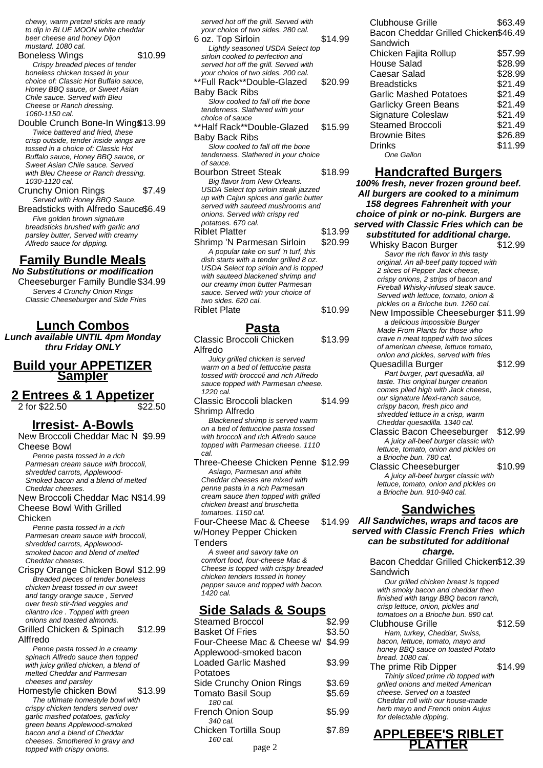chewy, warm pretzel sticks are ready to dip in BLUE MOON white cheddar beer cheese and honey Dijon mustard. 1080 cal.

Boneless Wings \$10.99 Crispy breaded pieces of tender boneless chicken tossed in your choice of: Classic Hot Buffalo sauce, Honey BBQ sauce, or Sweet Asian Chile sauce. Served with Bleu Cheese or Ranch dressing. 1060-1150 cal.

Double Crunch Bone-In Wing\$13.99 Twice battered and fried, these crisp outside, tender inside wings are tossed in a choice of: Classic Hot Buffalo sauce, Honey BBQ sauce, or Sweet Asian Chile sauce. Served with Bleu Cheese or Ranch dressing. 1030-1120 cal.

Crunchy Onion Rings \$7.49 Served with Honey BBQ Sauce.

Breadsticks with Alfredo Sauce\$6.49 Five golden brown signature breadsticks brushed with garlic and parsley butter, Served with creamy Alfredo sauce for dipping.

#### **Family Bundle Meals No Substitutions or modification**

Cheeseburger Family Bundle \$34.99 Serves 4 Crunchy Onion Rings Classic Cheeseburger and Side Fries

**Lunch Combos**

**Lunch available UNTIL 4pm Monday thru Friday ONLY**

**Build your APPETIZER Sampler**

**2 Entrees & 1 Appetizer** 2 for \$22.50

#### **Irresist- A-Bowls**

New Broccoli Cheddar Mac N \$9.99 Cheese Bowl

Penne pasta tossed in a rich Parmesan cream sauce with broccoli, shredded carrots, Applewood-Smoked bacon and a blend of melted Cheddar cheeses.

New Broccoli Cheddar Mac N \$14.99 Cheese Bowl With Grilled

**Chicken** 

Penne pasta tossed in a rich Parmesan cream sauce with broccoli, shredded carrots, Applewoodsmoked bacon and blend of melted Cheddar cheeses.

Crispy Orange Chicken Bowl \$12.99 Breaded pieces of tender boneless chicken breast tossed in our sweet and tangy orange sauce , Served over fresh stir-fried veggies and cilantro rice . Topped with green onions and toasted almonds.

Grilled Chicken & Spinach Alffredo \$12.99

Penne pasta tossed in a creamy spinach Alfredo sauce then topped with juicy grilled chicken, a blend of melted Cheddar and Parmesan cheeses and parsley

Homestyle chicken Bowl \$13.99 The ultimate homestyle bowl with crispy chicken tenders served over garlic mashed potatoes, garlicky green beans Applewood-smoked bacon and a blend of Cheddar cheeses. Smothered in gravy and topped with crispy onions.

| served hot off the grill. Served with<br>your choice of two sides. 280 cal. |         |
|-----------------------------------------------------------------------------|---------|
| 6 oz. Top Sirloin                                                           | \$14.99 |
|                                                                             |         |
| Lightly seasoned USDA Select top                                            |         |
| sirloin cooked to perfection and                                            |         |
| served hot off the grill. Served with                                       |         |
| your choice of two sides. 200 cal.                                          |         |
| **Full Rack**Double-Glazed                                                  | \$20.99 |
| Baby Back Ribs                                                              |         |
| Slow cooked to fall off the bone                                            |         |
| tenderness. Slathered with your                                             |         |
| choice of sauce                                                             |         |
| **Half Rack**Double-Glazed                                                  | \$15.99 |
| <b>Baby Back Ribs</b>                                                       |         |
| Slow cooked to fall off the bone                                            |         |
| tenderness. Slathered in your choice                                        |         |
| of sauce.                                                                   |         |
| <b>Bourbon Street Steak</b>                                                 | \$18.99 |
| Big flavor from New Orleans.                                                |         |
| USDA Select top sirloin steak jazzed                                        |         |
| up with Cajun spices and garlic butter                                      |         |
| served with sauteed mushrooms and                                           |         |
| onions. Served with crispy red                                              |         |
| potatoes. 670 cal.                                                          |         |
| <b>Riblet Platter</b>                                                       | \$13.99 |
| Shrimp 'N Parmesan Sirloin                                                  | \$20.99 |
| A popular take on surf 'n turf, this                                        |         |
| dish starts with a tender grilled 8 oz.                                     |         |
| USDA Select top sirloin and is topped                                       |         |
| with sauteed blackened shrimp and                                           |         |
| our creamy Imon butter Parmesan                                             |         |
| sauce. Served with your choice of                                           |         |
| two sides. 620 cal.                                                         |         |

#### **Pasta**

Riblet Plate \$10.99

| Classic Broccoli Chicken              | \$13.99 |
|---------------------------------------|---------|
| Alfredo                               |         |
| Juicy grilled chicken is served       |         |
| warm on a bed of fettuccine pasta     |         |
| tossed with broccoli and rich Alfredo |         |
| sauce topped with Parmesan cheese.    |         |
| 1220 cal.                             |         |
| Classic Broccoli blacken              | \$14.99 |
| Shrimp Alfredo                        |         |
| Blackened shrimp is served warm       |         |
| on a bed of fettuccine pasta tossed   |         |
| with broccoli and rich Alfredo sauce  |         |
| topped with Parmesan cheese. 1110     |         |
| cal.                                  |         |
| Three-Cheese Chicken Penne \$12.99    |         |
| Asiago, Parmesan and white            |         |
| Cheddar cheeses are mixed with        |         |
| penne pasta in a rich Parmesan        |         |
| cream sauce then topped with grilled  |         |
| chicken breast and bruschetta         |         |
| tomatoes, 1150 cal.                   |         |
| Four-Cheese Mac & Cheese              | \$14.99 |
| w/Honey Pepper Chicken                |         |
| Tenders                               |         |
| A sweet and savory take on            |         |
| comfort food, four-cheese Mac &       |         |
| Cheese is topped with crispy breaded  |         |
| chicken tenders tossed in honey       |         |
| pepper sauce and topped with bacon.   |         |
| 1420 cal.                             |         |
|                                       |         |
| <u>Side Salads &amp; Soups</u>        |         |
| <b>Steamed Broccol</b>                | \$2.99  |
| <b>Basket Of Fries</b>                | \$3.50  |

| olcanicu Diuuun                    | ພ∠.ວວ  |
|------------------------------------|--------|
| <b>Basket Of Fries</b>             | \$3.50 |
| Four-Cheese Mac & Cheese w/ \$4.99 |        |
| Applewood-smoked bacon             |        |
| Loaded Garlic Mashed               | \$3.99 |
| Potatoes                           |        |
| Side Crunchy Onion Rings           | \$3.69 |
| <b>Tomato Basil Soup</b>           | \$5.69 |
| 180 cal.                           |        |
| <b>French Onion Soup</b>           | \$5.99 |
| 340 cal.                           |        |
| Chicken Tortilla Soup              | \$7.89 |
| 160 cal.                           |        |
| nage 2                             |        |

| Clubhouse Grille<br>Bacon Cheddar Grilled Chicken\$46.49<br>Sandwich | \$63.49 |
|----------------------------------------------------------------------|---------|
| Chicken Fajita Rollup                                                | \$57.99 |
| House Salad                                                          | \$28.99 |
| Caesar Salad                                                         | \$28.99 |
| <b>Breadsticks</b>                                                   | \$21.49 |
| Garlic Mashed Potatoes                                               | \$21.49 |
| <b>Garlicky Green Beans</b>                                          | \$21.49 |
| Signature Coleslaw                                                   | \$21.49 |
| <b>Steamed Broccoli</b>                                              | \$21.49 |
| <b>Brownie Bites</b>                                                 | \$26.89 |
| Drinks                                                               | \$11.99 |
| <b>One Gallon</b>                                                    |         |

#### **Handcrafted Burgers**

**100% fresh, never frozen ground beef. All burgers are cooked to a minimum 158 degrees Fahrenheit with your choice of pink or no-pink. Burgers are served with Classic Fries which can be substituted for additional charge.** Whisky Bacon Burger \$12.99

Savor the rich flavor in this tasty original. An all-beef patty topped with 2 slices of Pepper Jack cheese, crispy onions, 2 strips of bacon and Fireball Whisky-infused steak sauce. Served with lettuce, tomato, onion & pickles on a Brioche bun. 1260 cal. New Impossible Cheeseburger \$11.99

a delicious impossible Burger Made From Plants for those who crave n meat topped with two slices of american cheese, lettuce tomato, onion and pickles, served with fries

Quesadilla Burger \$12.99 Part burger, part quesadilla, all taste. This original burger creation comes piled high with Jack cheese, our signature Mexi-ranch sauce, crispy bacon, fresh pico and shredded lettuce in a crisp, warm Cheddar quesadilla. 1340 cal.

Classic Bacon Cheeseburger \$12.99 A juicy all-beef burger classic with lettuce, tomato, onion and pickles on a Brioche bun. 780 cal.

Classic Cheeseburger \$10.99 A juicy all-beef burger classic with lettuce, tomato, onion and pickles on a Brioche bun. 910-940 cal.

#### **Sandwiches**

**All Sandwiches, wraps and tacos are served with Classic French Fries which can be substituted for additional**

**charge.**

Bacon Cheddar Grilled Chicken \$12.39 **Sandwich** Our grilled chicken breast is topped with smoky bacon and cheddar then finished with tangy BBQ bacon ranch, crisp lettuce, onion, pickles and tomatoes on a Brioche bun. 890 cal. Clubhouse Grille 512.59 Ham, turkey, Cheddar, Swiss, bacon, lettuce, tomato, mayo and honey BBQ sauce on toasted Potato bread. 1080 cal. The prime Rib Dipper \$14.99 Thinly sliced prime rib topped with grilled onions and melted American cheese. Served on a toasted Cheddar roll with our house-made herb mayo and French onion Aujus

#### **APPLEBEE'S RIBLET** page 2 **PLATTER**

for delectable dipping.